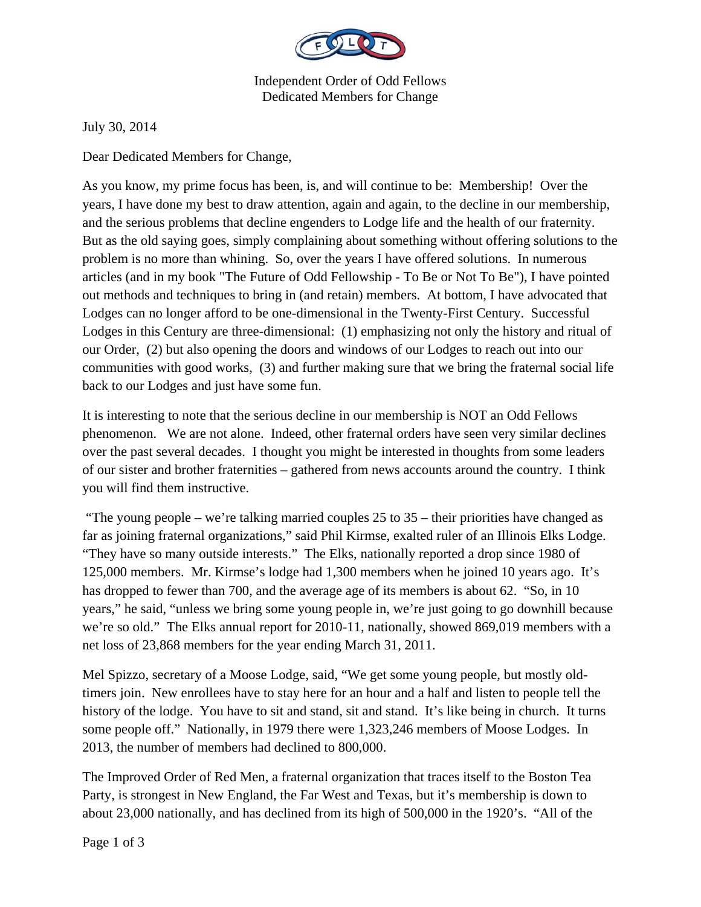

Independent Order of Odd Fellows Dedicated Members for Change

July 30, 2014

Dear Dedicated Members for Change,

As you know, my prime focus has been, is, and will continue to be: Membership! Over the years, I have done my best to draw attention, again and again, to the decline in our membership, and the serious problems that decline engenders to Lodge life and the health of our fraternity. But as the old saying goes, simply complaining about something without offering solutions to the problem is no more than whining. So, over the years I have offered solutions. In numerous articles (and in my book "The Future of Odd Fellowship - To Be or Not To Be"), I have pointed out methods and techniques to bring in (and retain) members. At bottom, I have advocated that Lodges can no longer afford to be one-dimensional in the Twenty-First Century. Successful Lodges in this Century are three-dimensional: (1) emphasizing not only the history and ritual of our Order, (2) but also opening the doors and windows of our Lodges to reach out into our communities with good works, (3) and further making sure that we bring the fraternal social life back to our Lodges and just have some fun.

It is interesting to note that the serious decline in our membership is NOT an Odd Fellows phenomenon. We are not alone. Indeed, other fraternal orders have seen very similar declines over the past several decades. I thought you might be interested in thoughts from some leaders of our sister and brother fraternities – gathered from news accounts around the country. I think you will find them instructive.

 "The young people – we're talking married couples 25 to 35 – their priorities have changed as far as joining fraternal organizations," said Phil Kirmse, exalted ruler of an Illinois Elks Lodge. "They have so many outside interests." The Elks, nationally reported a drop since 1980 of 125,000 members. Mr. Kirmse's lodge had 1,300 members when he joined 10 years ago. It's has dropped to fewer than 700, and the average age of its members is about 62. "So, in 10 years," he said, "unless we bring some young people in, we're just going to go downhill because we're so old." The Elks annual report for 2010-11, nationally, showed 869,019 members with a net loss of 23,868 members for the year ending March 31, 2011.

Mel Spizzo, secretary of a Moose Lodge, said, "We get some young people, but mostly oldtimers join. New enrollees have to stay here for an hour and a half and listen to people tell the history of the lodge. You have to sit and stand, sit and stand. It's like being in church. It turns some people off." Nationally, in 1979 there were 1,323,246 members of Moose Lodges. In 2013, the number of members had declined to 800,000.

The Improved Order of Red Men, a fraternal organization that traces itself to the Boston Tea Party, is strongest in New England, the Far West and Texas, but it's membership is down to about 23,000 nationally, and has declined from its high of 500,000 in the 1920's. "All of the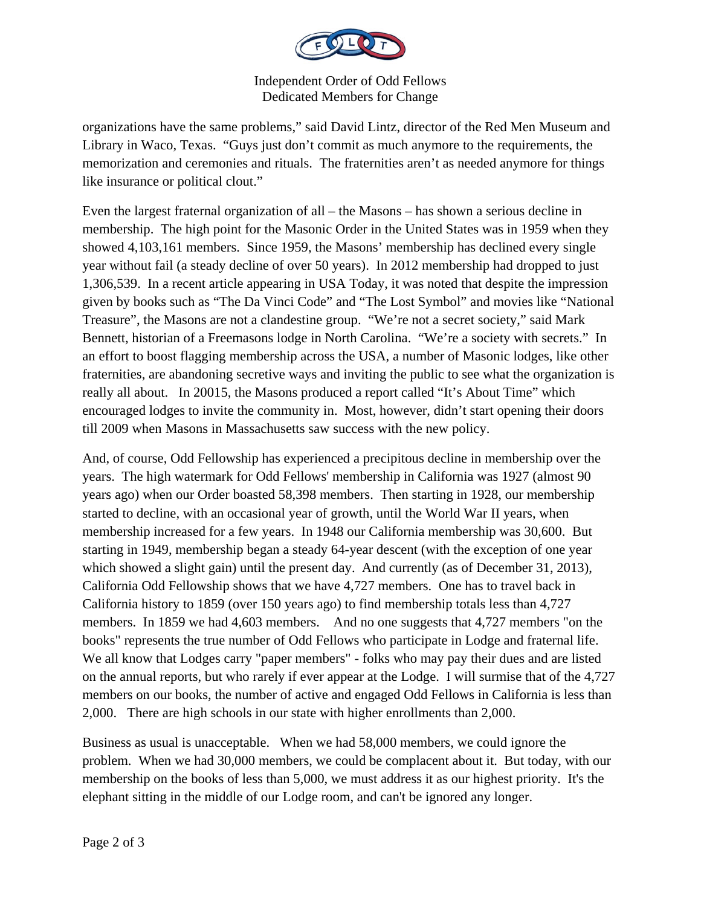

Independent Order of Odd Fellows Dedicated Members for Change

organizations have the same problems," said David Lintz, director of the Red Men Museum and Library in Waco, Texas. "Guys just don't commit as much anymore to the requirements, the memorization and ceremonies and rituals. The fraternities aren't as needed anymore for things like insurance or political clout."

Even the largest fraternal organization of all – the Masons – has shown a serious decline in membership. The high point for the Masonic Order in the United States was in 1959 when they showed 4,103,161 members. Since 1959, the Masons' membership has declined every single year without fail (a steady decline of over 50 years). In 2012 membership had dropped to just 1,306,539. In a recent article appearing in USA Today, it was noted that despite the impression given by books such as "The Da Vinci Code" and "The Lost Symbol" and movies like "National Treasure", the Masons are not a clandestine group. "We're not a secret society," said Mark Bennett, historian of a Freemasons lodge in North Carolina. "We're a society with secrets." In an effort to boost flagging membership across the USA, a number of Masonic lodges, like other fraternities, are abandoning secretive ways and inviting the public to see what the organization is really all about. In 20015, the Masons produced a report called "It's About Time" which encouraged lodges to invite the community in. Most, however, didn't start opening their doors till 2009 when Masons in Massachusetts saw success with the new policy.

And, of course, Odd Fellowship has experienced a precipitous decline in membership over the years. The high watermark for Odd Fellows' membership in California was 1927 (almost 90 years ago) when our Order boasted 58,398 members. Then starting in 1928, our membership started to decline, with an occasional year of growth, until the World War II years, when membership increased for a few years. In 1948 our California membership was 30,600. But starting in 1949, membership began a steady 64-year descent (with the exception of one year which showed a slight gain) until the present day. And currently (as of December 31, 2013), California Odd Fellowship shows that we have 4,727 members. One has to travel back in California history to 1859 (over 150 years ago) to find membership totals less than 4,727 members. In 1859 we had 4,603 members. And no one suggests that 4,727 members "on the books" represents the true number of Odd Fellows who participate in Lodge and fraternal life. We all know that Lodges carry "paper members" - folks who may pay their dues and are listed on the annual reports, but who rarely if ever appear at the Lodge. I will surmise that of the 4,727 members on our books, the number of active and engaged Odd Fellows in California is less than 2,000. There are high schools in our state with higher enrollments than 2,000.

Business as usual is unacceptable. When we had 58,000 members, we could ignore the problem. When we had 30,000 members, we could be complacent about it. But today, with our membership on the books of less than 5,000, we must address it as our highest priority. It's the elephant sitting in the middle of our Lodge room, and can't be ignored any longer.